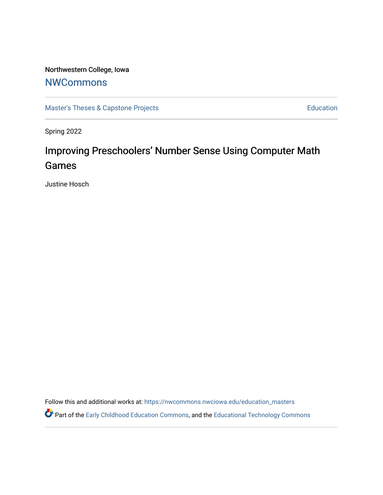# Northwestern College, Iowa

# **[NWCommons](https://nwcommons.nwciowa.edu/)**

[Master's Theses & Capstone Projects](https://nwcommons.nwciowa.edu/education_masters) **Education** Education

Spring 2022

# Improving Preschoolers' Number Sense Using Computer Math Games

Justine Hosch

Follow this and additional works at: [https://nwcommons.nwciowa.edu/education\\_masters](https://nwcommons.nwciowa.edu/education_masters?utm_source=nwcommons.nwciowa.edu%2Feducation_masters%2F395&utm_medium=PDF&utm_campaign=PDFCoverPages)

Part of the [Early Childhood Education Commons,](https://network.bepress.com/hgg/discipline/1377?utm_source=nwcommons.nwciowa.edu%2Feducation_masters%2F395&utm_medium=PDF&utm_campaign=PDFCoverPages) and the [Educational Technology Commons](https://network.bepress.com/hgg/discipline/1415?utm_source=nwcommons.nwciowa.edu%2Feducation_masters%2F395&utm_medium=PDF&utm_campaign=PDFCoverPages)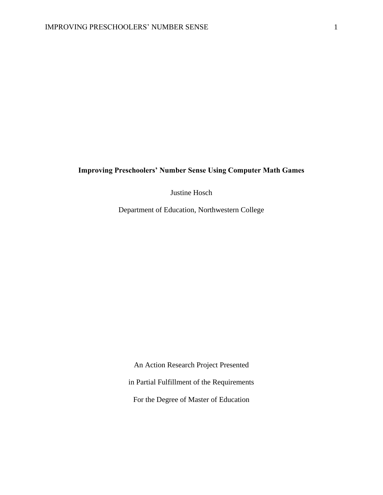# **Improving Preschoolers' Number Sense Using Computer Math Games**

Justine Hosch

Department of Education, Northwestern College

An Action Research Project Presented in Partial Fulfillment of the Requirements For the Degree of Master of Education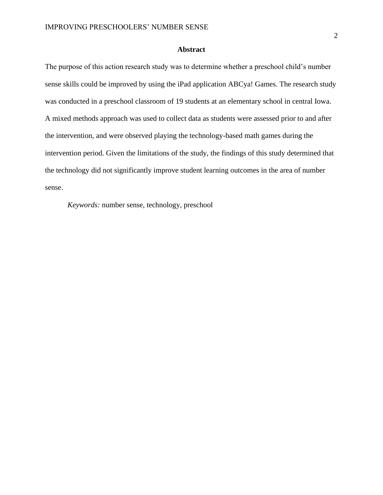### **Abstract**

The purpose of this action research study was to determine whether a preschool child's number sense skills could be improved by using the iPad application ABCya! Games. The research study was conducted in a preschool classroom of 19 students at an elementary school in central Iowa. A mixed methods approach was used to collect data as students were assessed prior to and after the intervention, and were observed playing the technology-based math games during the intervention period. Given the limitations of the study, the findings of this study determined that the technology did not significantly improve student learning outcomes in the area of number sense.

*Keywords:* number sense, technology, preschool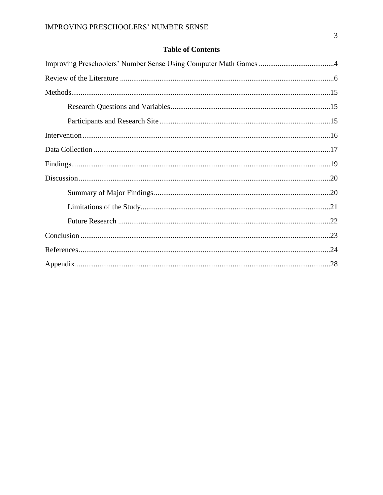# **Table of Contents**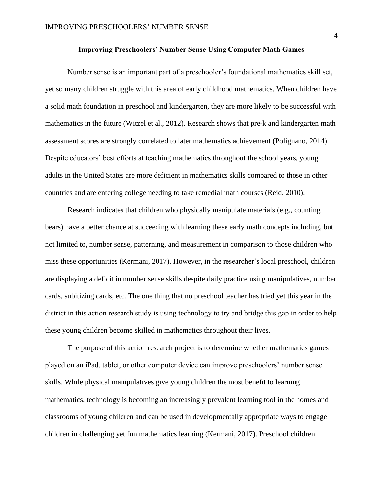### **Improving Preschoolers' Number Sense Using Computer Math Games**

Number sense is an important part of a preschooler's foundational mathematics skill set, yet so many children struggle with this area of early childhood mathematics. When children have a solid math foundation in preschool and kindergarten, they are more likely to be successful with mathematics in the future (Witzel et al., 2012). Research shows that pre-k and kindergarten math assessment scores are strongly correlated to later mathematics achievement (Polignano, 2014). Despite educators' best efforts at teaching mathematics throughout the school years, young adults in the United States are more deficient in mathematics skills compared to those in other countries and are entering college needing to take remedial math courses (Reid, 2010).

Research indicates that children who physically manipulate materials (e.g., counting bears) have a better chance at succeeding with learning these early math concepts including, but not limited to, number sense, patterning, and measurement in comparison to those children who miss these opportunities (Kermani, 2017). However, in the researcher's local preschool, children are displaying a deficit in number sense skills despite daily practice using manipulatives, number cards, subitizing cards, etc. The one thing that no preschool teacher has tried yet this year in the district in this action research study is using technology to try and bridge this gap in order to help these young children become skilled in mathematics throughout their lives.

The purpose of this action research project is to determine whether mathematics games played on an iPad, tablet, or other computer device can improve preschoolers' number sense skills. While physical manipulatives give young children the most benefit to learning mathematics, technology is becoming an increasingly prevalent learning tool in the homes and classrooms of young children and can be used in developmentally appropriate ways to engage children in challenging yet fun mathematics learning (Kermani, 2017). Preschool children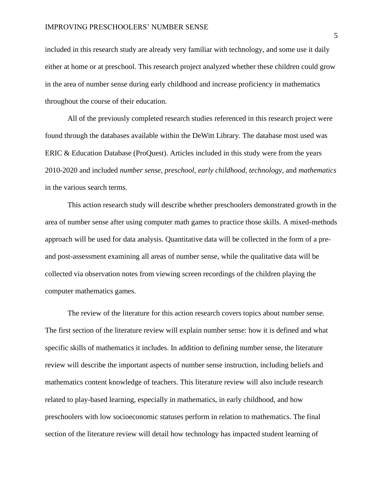included in this research study are already very familiar with technology, and some use it daily either at home or at preschool. This research project analyzed whether these children could grow in the area of number sense during early childhood and increase proficiency in mathematics throughout the course of their education.

All of the previously completed research studies referenced in this research project were found through the databases available within the DeWitt Library. The database most used was ERIC & Education Database (ProQuest). Articles included in this study were from the years 2010-2020 and included *number sense, preschool, early childhood, technology,* and *mathematics* in the various search terms.

This action research study will describe whether preschoolers demonstrated growth in the area of number sense after using computer math games to practice those skills. A mixed-methods approach will be used for data analysis. Quantitative data will be collected in the form of a preand post-assessment examining all areas of number sense, while the qualitative data will be collected via observation notes from viewing screen recordings of the children playing the computer mathematics games.

The review of the literature for this action research covers topics about number sense. The first section of the literature review will explain number sense: how it is defined and what specific skills of mathematics it includes. In addition to defining number sense, the literature review will describe the important aspects of number sense instruction, including beliefs and mathematics content knowledge of teachers. This literature review will also include research related to play-based learning, especially in mathematics, in early childhood, and how preschoolers with low socioeconomic statuses perform in relation to mathematics. The final section of the literature review will detail how technology has impacted student learning of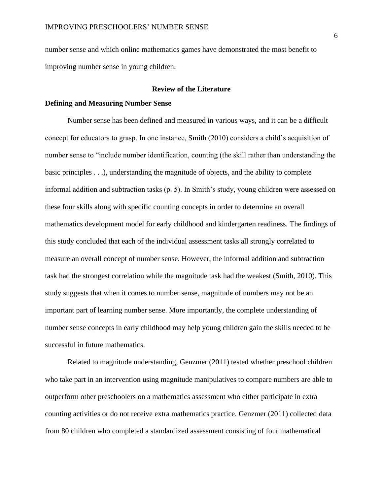number sense and which online mathematics games have demonstrated the most benefit to improving number sense in young children.

#### **Review of the Literature**

### **Defining and Measuring Number Sense**

Number sense has been defined and measured in various ways, and it can be a difficult concept for educators to grasp. In one instance, Smith (2010) considers a child's acquisition of number sense to "include number identification, counting (the skill rather than understanding the basic principles . . .), understanding the magnitude of objects, and the ability to complete informal addition and subtraction tasks (p. 5). In Smith's study, young children were assessed on these four skills along with specific counting concepts in order to determine an overall mathematics development model for early childhood and kindergarten readiness. The findings of this study concluded that each of the individual assessment tasks all strongly correlated to measure an overall concept of number sense. However, the informal addition and subtraction task had the strongest correlation while the magnitude task had the weakest (Smith, 2010). This study suggests that when it comes to number sense, magnitude of numbers may not be an important part of learning number sense. More importantly, the complete understanding of number sense concepts in early childhood may help young children gain the skills needed to be successful in future mathematics.

Related to magnitude understanding, Genzmer (2011) tested whether preschool children who take part in an intervention using magnitude manipulatives to compare numbers are able to outperform other preschoolers on a mathematics assessment who either participate in extra counting activities or do not receive extra mathematics practice. Genzmer (2011) collected data from 80 children who completed a standardized assessment consisting of four mathematical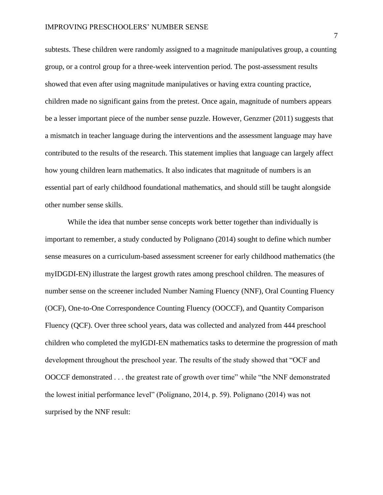#### IMPROVING PRESCHOOLERS' NUMBER SENSE

subtests. These children were randomly assigned to a magnitude manipulatives group, a counting group, or a control group for a three-week intervention period. The post-assessment results showed that even after using magnitude manipulatives or having extra counting practice, children made no significant gains from the pretest. Once again, magnitude of numbers appears be a lesser important piece of the number sense puzzle. However, Genzmer (2011) suggests that a mismatch in teacher language during the interventions and the assessment language may have contributed to the results of the research. This statement implies that language can largely affect how young children learn mathematics. It also indicates that magnitude of numbers is an essential part of early childhood foundational mathematics, and should still be taught alongside other number sense skills.

While the idea that number sense concepts work better together than individually is important to remember, a study conducted by Polignano (2014) sought to define which number sense measures on a curriculum-based assessment screener for early childhood mathematics (the myIDGDI-EN) illustrate the largest growth rates among preschool children. The measures of number sense on the screener included Number Naming Fluency (NNF), Oral Counting Fluency (OCF), One-to-One Correspondence Counting Fluency (OOCCF), and Quantity Comparison Fluency (QCF). Over three school years, data was collected and analyzed from 444 preschool children who completed the myIGDI-EN mathematics tasks to determine the progression of math development throughout the preschool year. The results of the study showed that "OCF and OOCCF demonstrated . . . the greatest rate of growth over time" while "the NNF demonstrated the lowest initial performance level" (Polignano, 2014, p. 59). Polignano (2014) was not surprised by the NNF result: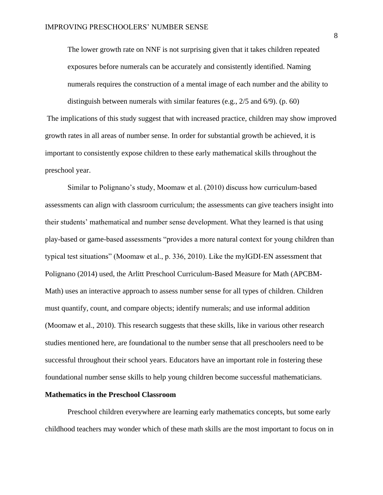The lower growth rate on NNF is not surprising given that it takes children repeated exposures before numerals can be accurately and consistently identified. Naming numerals requires the construction of a mental image of each number and the ability to distinguish between numerals with similar features (e.g., 2/5 and 6/9). (p. 60)

The implications of this study suggest that with increased practice, children may show improved growth rates in all areas of number sense. In order for substantial growth be achieved, it is important to consistently expose children to these early mathematical skills throughout the preschool year.

Similar to Polignano's study, Moomaw et al. (2010) discuss how curriculum-based assessments can align with classroom curriculum; the assessments can give teachers insight into their students' mathematical and number sense development. What they learned is that using play-based or game-based assessments "provides a more natural context for young children than typical test situations" (Moomaw et al., p. 336, 2010). Like the myIGDI-EN assessment that Polignano (2014) used, the Arlitt Preschool Curriculum-Based Measure for Math (APCBM-Math) uses an interactive approach to assess number sense for all types of children. Children must quantify, count, and compare objects; identify numerals; and use informal addition (Moomaw et al., 2010). This research suggests that these skills, like in various other research studies mentioned here, are foundational to the number sense that all preschoolers need to be successful throughout their school years. Educators have an important role in fostering these foundational number sense skills to help young children become successful mathematicians.

#### **Mathematics in the Preschool Classroom**

Preschool children everywhere are learning early mathematics concepts, but some early childhood teachers may wonder which of these math skills are the most important to focus on in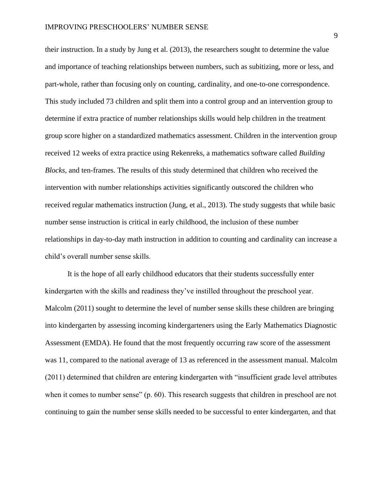their instruction. In a study by Jung et al. (2013), the researchers sought to determine the value and importance of teaching relationships between numbers, such as subitizing, more or less, and part-whole, rather than focusing only on counting, cardinality, and one-to-one correspondence. This study included 73 children and split them into a control group and an intervention group to determine if extra practice of number relationships skills would help children in the treatment group score higher on a standardized mathematics assessment. Children in the intervention group received 12 weeks of extra practice using Rekenreks, a mathematics software called *Building Blocks,* and ten-frames. The results of this study determined that children who received the intervention with number relationships activities significantly outscored the children who received regular mathematics instruction (Jung, et al., 2013). The study suggests that while basic number sense instruction is critical in early childhood, the inclusion of these number relationships in day-to-day math instruction in addition to counting and cardinality can increase a child's overall number sense skills.

It is the hope of all early childhood educators that their students successfully enter kindergarten with the skills and readiness they've instilled throughout the preschool year. Malcolm (2011) sought to determine the level of number sense skills these children are bringing into kindergarten by assessing incoming kindergarteners using the Early Mathematics Diagnostic Assessment (EMDA). He found that the most frequently occurring raw score of the assessment was 11, compared to the national average of 13 as referenced in the assessment manual. Malcolm (2011) determined that children are entering kindergarten with "insufficient grade level attributes when it comes to number sense" (p. 60). This research suggests that children in preschool are not continuing to gain the number sense skills needed to be successful to enter kindergarten, and that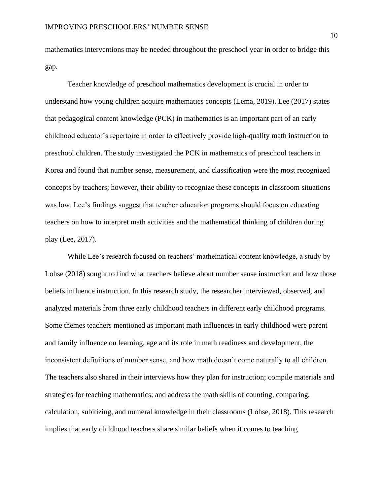mathematics interventions may be needed throughout the preschool year in order to bridge this gap.

Teacher knowledge of preschool mathematics development is crucial in order to understand how young children acquire mathematics concepts (Lema, 2019). Lee (2017) states that pedagogical content knowledge (PCK) in mathematics is an important part of an early childhood educator's repertoire in order to effectively provide high-quality math instruction to preschool children. The study investigated the PCK in mathematics of preschool teachers in Korea and found that number sense, measurement, and classification were the most recognized concepts by teachers; however, their ability to recognize these concepts in classroom situations was low. Lee's findings suggest that teacher education programs should focus on educating teachers on how to interpret math activities and the mathematical thinking of children during play (Lee, 2017).

While Lee's research focused on teachers' mathematical content knowledge, a study by Lohse (2018) sought to find what teachers believe about number sense instruction and how those beliefs influence instruction. In this research study, the researcher interviewed, observed, and analyzed materials from three early childhood teachers in different early childhood programs. Some themes teachers mentioned as important math influences in early childhood were parent and family influence on learning, age and its role in math readiness and development, the inconsistent definitions of number sense, and how math doesn't come naturally to all children. The teachers also shared in their interviews how they plan for instruction; compile materials and strategies for teaching mathematics; and address the math skills of counting, comparing, calculation, subitizing, and numeral knowledge in their classrooms (Lohse, 2018). This research implies that early childhood teachers share similar beliefs when it comes to teaching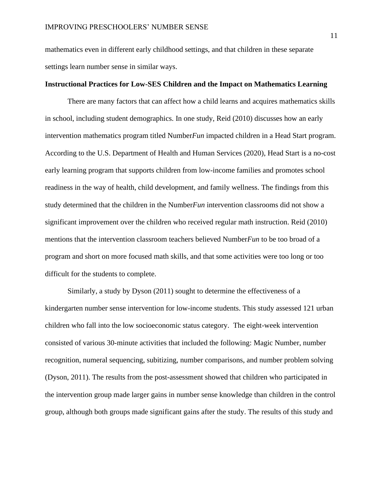mathematics even in different early childhood settings, and that children in these separate settings learn number sense in similar ways.

#### **Instructional Practices for Low-SES Children and the Impact on Mathematics Learning**

There are many factors that can affect how a child learns and acquires mathematics skills in school, including student demographics. In one study, Reid (2010) discusses how an early intervention mathematics program titled Number*Fun* impacted children in a Head Start program. According to the U.S. Department of Health and Human Services (2020), Head Start is a no-cost early learning program that supports children from low-income families and promotes school readiness in the way of health, child development, and family wellness. The findings from this study determined that the children in the Number*Fun* intervention classrooms did not show a significant improvement over the children who received regular math instruction. Reid (2010) mentions that the intervention classroom teachers believed Number*Fun* to be too broad of a program and short on more focused math skills, and that some activities were too long or too difficult for the students to complete.

Similarly, a study by Dyson (2011) sought to determine the effectiveness of a kindergarten number sense intervention for low-income students. This study assessed 121 urban children who fall into the low socioeconomic status category. The eight-week intervention consisted of various 30-minute activities that included the following: Magic Number, number recognition, numeral sequencing, subitizing, number comparisons, and number problem solving (Dyson, 2011). The results from the post-assessment showed that children who participated in the intervention group made larger gains in number sense knowledge than children in the control group, although both groups made significant gains after the study. The results of this study and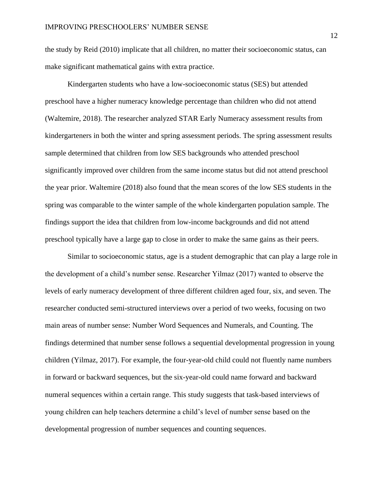the study by Reid (2010) implicate that all children, no matter their socioeconomic status, can make significant mathematical gains with extra practice.

Kindergarten students who have a low-socioeconomic status (SES) but attended preschool have a higher numeracy knowledge percentage than children who did not attend (Waltemire, 2018). The researcher analyzed STAR Early Numeracy assessment results from kindergarteners in both the winter and spring assessment periods. The spring assessment results sample determined that children from low SES backgrounds who attended preschool significantly improved over children from the same income status but did not attend preschool the year prior. Waltemire (2018) also found that the mean scores of the low SES students in the spring was comparable to the winter sample of the whole kindergarten population sample. The findings support the idea that children from low-income backgrounds and did not attend preschool typically have a large gap to close in order to make the same gains as their peers.

Similar to socioeconomic status, age is a student demographic that can play a large role in the development of a child's number sense. Researcher Yilmaz (2017) wanted to observe the levels of early numeracy development of three different children aged four, six, and seven. The researcher conducted semi-structured interviews over a period of two weeks, focusing on two main areas of number sense: Number Word Sequences and Numerals, and Counting. The findings determined that number sense follows a sequential developmental progression in young children (Yilmaz, 2017). For example, the four-year-old child could not fluently name numbers in forward or backward sequences, but the six-year-old could name forward and backward numeral sequences within a certain range. This study suggests that task-based interviews of young children can help teachers determine a child's level of number sense based on the developmental progression of number sequences and counting sequences.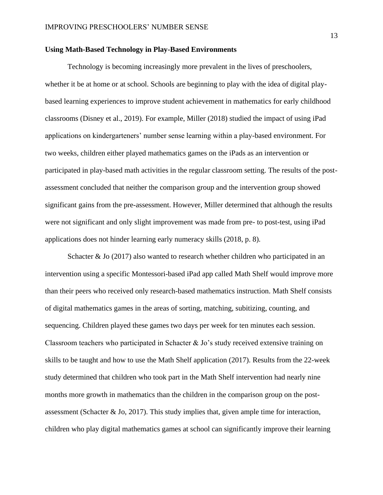#### **Using Math-Based Technology in Play-Based Environments**

Technology is becoming increasingly more prevalent in the lives of preschoolers, whether it be at home or at school. Schools are beginning to play with the idea of digital playbased learning experiences to improve student achievement in mathematics for early childhood classrooms (Disney et al., 2019). For example, Miller (2018) studied the impact of using iPad applications on kindergarteners' number sense learning within a play-based environment. For two weeks, children either played mathematics games on the iPads as an intervention or participated in play-based math activities in the regular classroom setting. The results of the postassessment concluded that neither the comparison group and the intervention group showed significant gains from the pre-assessment. However, Miller determined that although the results were not significant and only slight improvement was made from pre- to post-test, using iPad applications does not hinder learning early numeracy skills (2018, p. 8).

Schacter  $\&$  Jo (2017) also wanted to research whether children who participated in an intervention using a specific Montessori-based iPad app called Math Shelf would improve more than their peers who received only research-based mathematics instruction. Math Shelf consists of digital mathematics games in the areas of sorting, matching, subitizing, counting, and sequencing. Children played these games two days per week for ten minutes each session. Classroom teachers who participated in Schacter  $\&$  Jo's study received extensive training on skills to be taught and how to use the Math Shelf application (2017). Results from the 22-week study determined that children who took part in the Math Shelf intervention had nearly nine months more growth in mathematics than the children in the comparison group on the postassessment (Schacter & Jo, 2017). This study implies that, given ample time for interaction, children who play digital mathematics games at school can significantly improve their learning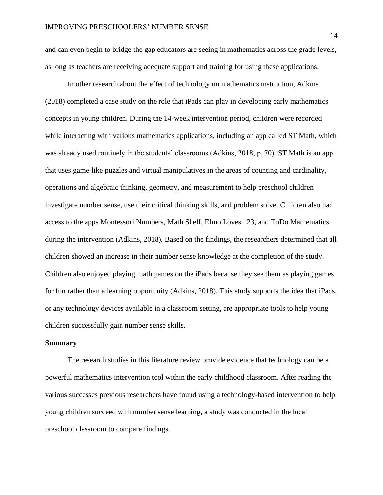and can even begin to bridge the gap educators are seeing in mathematics across the grade levels, as long as teachers are receiving adequate support and training for using these applications.

In other research about the effect of technology on mathematics instruction, Adkins (2018) completed a case study on the role that iPads can play in developing early mathematics concepts in young children. During the 14-week intervention period, children were recorded while interacting with various mathematics applications, including an app called ST Math*,* which was already used routinely in the students' classrooms (Adkins, 2018, p. 70). ST Math is an app that uses game-like puzzles and virtual manipulatives in the areas of counting and cardinality, operations and algebraic thinking, geometry, and measurement to help preschool children investigate number sense, use their critical thinking skills, and problem solve. Children also had access to the apps Montessori Numbers, Math Shelf, Elmo Loves 123, and ToDo Mathematics during the intervention (Adkins, 2018)*.* Based on the findings, the researchers determined that all children showed an increase in their number sense knowledge at the completion of the study. Children also enjoyed playing math games on the iPads because they see them as playing games for fun rather than a learning opportunity (Adkins, 2018). This study supports the idea that iPads, or any technology devices available in a classroom setting, are appropriate tools to help young children successfully gain number sense skills.

#### **Summary**

The research studies in this literature review provide evidence that technology can be a powerful mathematics intervention tool within the early childhood classroom. After reading the various successes previous researchers have found using a technology-based intervention to help young children succeed with number sense learning, a study was conducted in the local preschool classroom to compare findings.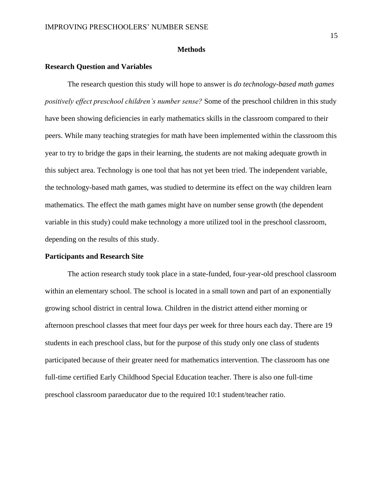#### **Methods**

#### **Research Question and Variables**

The research question this study will hope to answer is *do technology-based math games positively effect preschool children's number sense?* Some of the preschool children in this study have been showing deficiencies in early mathematics skills in the classroom compared to their peers. While many teaching strategies for math have been implemented within the classroom this year to try to bridge the gaps in their learning, the students are not making adequate growth in this subject area. Technology is one tool that has not yet been tried. The independent variable, the technology-based math games, was studied to determine its effect on the way children learn mathematics. The effect the math games might have on number sense growth (the dependent variable in this study) could make technology a more utilized tool in the preschool classroom, depending on the results of this study.

#### **Participants and Research Site**

The action research study took place in a state-funded, four-year-old preschool classroom within an elementary school. The school is located in a small town and part of an exponentially growing school district in central Iowa. Children in the district attend either morning or afternoon preschool classes that meet four days per week for three hours each day. There are 19 students in each preschool class, but for the purpose of this study only one class of students participated because of their greater need for mathematics intervention. The classroom has one full-time certified Early Childhood Special Education teacher. There is also one full-time preschool classroom paraeducator due to the required 10:1 student/teacher ratio.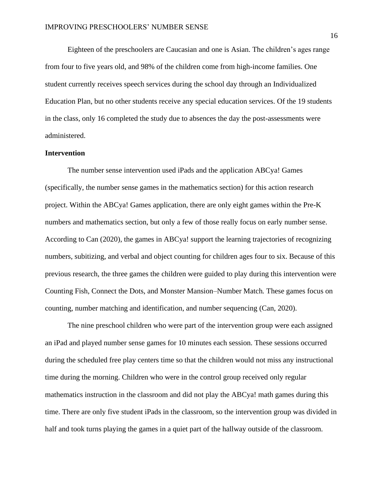Eighteen of the preschoolers are Caucasian and one is Asian. The children's ages range from four to five years old, and 98% of the children come from high-income families. One student currently receives speech services during the school day through an Individualized Education Plan, but no other students receive any special education services. Of the 19 students in the class, only 16 completed the study due to absences the day the post-assessments were administered.

#### **Intervention**

The number sense intervention used iPads and the application ABCya! Games (specifically, the number sense games in the mathematics section) for this action research project. Within the ABCya! Games application, there are only eight games within the Pre-K numbers and mathematics section, but only a few of those really focus on early number sense. According to Can (2020), the games in ABCya! support the learning trajectories of recognizing numbers, subitizing, and verbal and object counting for children ages four to six. Because of this previous research, the three games the children were guided to play during this intervention were Counting Fish, Connect the Dots, and Monster Mansion–Number Match*.* These games focus on counting, number matching and identification, and number sequencing (Can, 2020).

The nine preschool children who were part of the intervention group were each assigned an iPad and played number sense games for 10 minutes each session. These sessions occurred during the scheduled free play centers time so that the children would not miss any instructional time during the morning. Children who were in the control group received only regular mathematics instruction in the classroom and did not play the ABCya! math games during this time. There are only five student iPads in the classroom, so the intervention group was divided in half and took turns playing the games in a quiet part of the hallway outside of the classroom.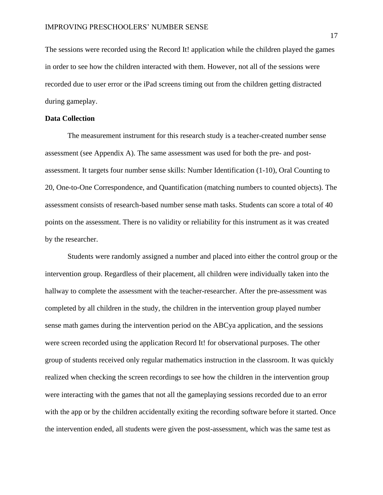The sessions were recorded using the Record It! application while the children played the games in order to see how the children interacted with them. However, not all of the sessions were recorded due to user error or the iPad screens timing out from the children getting distracted during gameplay.

#### **Data Collection**

The measurement instrument for this research study is a teacher-created number sense assessment (see Appendix A). The same assessment was used for both the pre- and postassessment. It targets four number sense skills: Number Identification (1-10), Oral Counting to 20, One-to-One Correspondence, and Quantification (matching numbers to counted objects). The assessment consists of research-based number sense math tasks. Students can score a total of 40 points on the assessment. There is no validity or reliability for this instrument as it was created by the researcher.

Students were randomly assigned a number and placed into either the control group or the intervention group. Regardless of their placement, all children were individually taken into the hallway to complete the assessment with the teacher-researcher. After the pre-assessment was completed by all children in the study, the children in the intervention group played number sense math games during the intervention period on the ABCya application, and the sessions were screen recorded using the application Record It! for observational purposes. The other group of students received only regular mathematics instruction in the classroom. It was quickly realized when checking the screen recordings to see how the children in the intervention group were interacting with the games that not all the gameplaying sessions recorded due to an error with the app or by the children accidentally exiting the recording software before it started. Once the intervention ended, all students were given the post-assessment, which was the same test as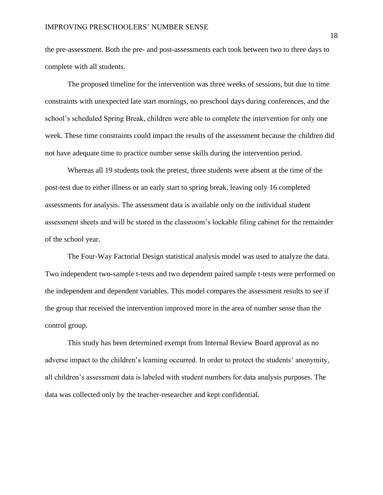the pre-assessment. Both the pre- and post-assessments each took between two to three days to complete with all students.

The proposed timeline for the intervention was three weeks of sessions, but due to time constraints with unexpected late start mornings, no preschool days during conferences, and the school's scheduled Spring Break, children were able to complete the intervention for only one week. These time constraints could impact the results of the assessment because the children did not have adequate time to practice number sense skills during the intervention period.

Whereas all 19 students took the pretest, three students were absent at the time of the post-test due to either illness or an early start to spring break, leaving only 16 completed assessments for analysis. The assessment data is available only on the individual student assessment sheets and will be stored in the classroom's lockable filing cabinet for the remainder of the school year.

The Four-Way Factorial Design statistical analysis model was used to analyze the data. Two independent two-sample t-tests and two dependent paired sample t-tests were performed on the independent and dependent variables. This model compares the assessment results to see if the group that received the intervention improved more in the area of number sense than the control group.

This study has been determined exempt from Internal Review Board approval as no adverse impact to the children's learning occurred. In order to protect the students' anonymity, all children's assessment data is labeled with student numbers for data analysis purposes. The data was collected only by the teacher-researcher and kept confidential.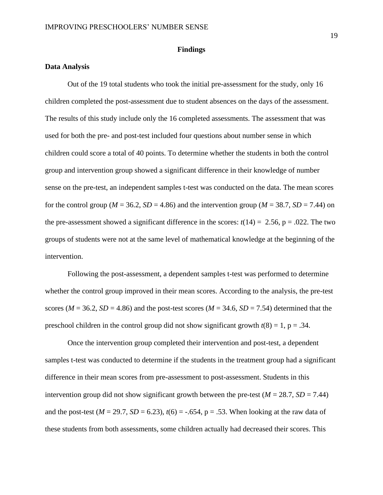#### **Findings**

#### **Data Analysis**

Out of the 19 total students who took the initial pre-assessment for the study, only 16 children completed the post-assessment due to student absences on the days of the assessment. The results of this study include only the 16 completed assessments. The assessment that was used for both the pre- and post-test included four questions about number sense in which children could score a total of 40 points. To determine whether the students in both the control group and intervention group showed a significant difference in their knowledge of number sense on the pre-test, an independent samples t-test was conducted on the data. The mean scores for the control group ( $M = 36.2$ ,  $SD = 4.86$ ) and the intervention group ( $M = 38.7$ ,  $SD = 7.44$ ) on the pre-assessment showed a significant difference in the scores:  $t(14) = 2.56$ ,  $p = .022$ . The two groups of students were not at the same level of mathematical knowledge at the beginning of the intervention.

Following the post-assessment, a dependent samples t-test was performed to determine whether the control group improved in their mean scores. According to the analysis, the pre-test scores ( $M = 36.2$ ,  $SD = 4.86$ ) and the post-test scores ( $M = 34.6$ ,  $SD = 7.54$ ) determined that the preschool children in the control group did not show significant growth  $t(8) = 1$ , p = .34.

Once the intervention group completed their intervention and post-test, a dependent samples t-test was conducted to determine if the students in the treatment group had a significant difference in their mean scores from pre-assessment to post-assessment. Students in this intervention group did not show significant growth between the pre-test  $(M = 28.7, SD = 7.44)$ and the post-test ( $M = 29.7$ ,  $SD = 6.23$ ),  $t(6) = -.654$ ,  $p = .53$ . When looking at the raw data of these students from both assessments, some children actually had decreased their scores. This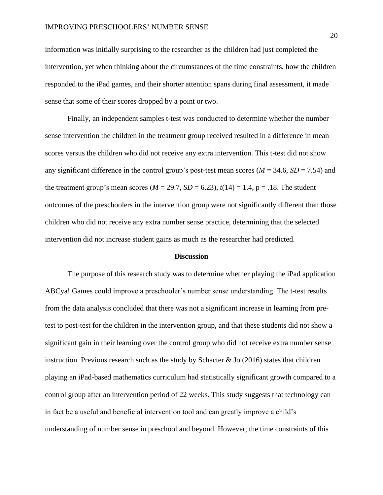information was initially surprising to the researcher as the children had just completed the intervention, yet when thinking about the circumstances of the time constraints, how the children responded to the iPad games, and their shorter attention spans during final assessment, it made sense that some of their scores dropped by a point or two.

Finally, an independent samples t-test was conducted to determine whether the number sense intervention the children in the treatment group received resulted in a difference in mean scores versus the children who did not receive any extra intervention. This t-test did not show any significant difference in the control group's post-test mean scores (*M* = 34.6, *SD* = 7.54) and the treatment group's mean scores ( $M = 29.7$ ,  $SD = 6.23$ ),  $t(14) = 1.4$ ,  $p = .18$ . The student outcomes of the preschoolers in the intervention group were not significantly different than those children who did not receive any extra number sense practice, determining that the selected intervention did not increase student gains as much as the researcher had predicted.

#### **Discussion**

The purpose of this research study was to determine whether playing the iPad application ABCya! Games could improve a preschooler's number sense understanding. The t-test results from the data analysis concluded that there was not a significant increase in learning from pretest to post-test for the children in the intervention group, and that these students did not show a significant gain in their learning over the control group who did not receive extra number sense instruction. Previous research such as the study by Schacter & Jo (2016) states that children playing an iPad-based mathematics curriculum had statistically significant growth compared to a control group after an intervention period of 22 weeks. This study suggests that technology can in fact be a useful and beneficial intervention tool and can greatly improve a child's understanding of number sense in preschool and beyond. However, the time constraints of this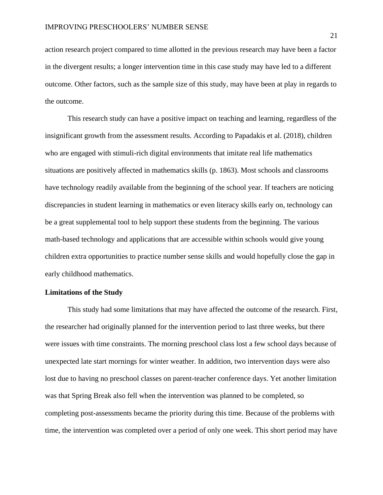action research project compared to time allotted in the previous research may have been a factor in the divergent results; a longer intervention time in this case study may have led to a different outcome. Other factors, such as the sample size of this study, may have been at play in regards to the outcome.

This research study can have a positive impact on teaching and learning, regardless of the insignificant growth from the assessment results. According to Papadakis et al. (2018), children who are engaged with stimuli-rich digital environments that imitate real life mathematics situations are positively affected in mathematics skills (p. 1863). Most schools and classrooms have technology readily available from the beginning of the school year. If teachers are noticing discrepancies in student learning in mathematics or even literacy skills early on, technology can be a great supplemental tool to help support these students from the beginning. The various math-based technology and applications that are accessible within schools would give young children extra opportunities to practice number sense skills and would hopefully close the gap in early childhood mathematics.

### **Limitations of the Study**

This study had some limitations that may have affected the outcome of the research. First, the researcher had originally planned for the intervention period to last three weeks, but there were issues with time constraints. The morning preschool class lost a few school days because of unexpected late start mornings for winter weather. In addition, two intervention days were also lost due to having no preschool classes on parent-teacher conference days. Yet another limitation was that Spring Break also fell when the intervention was planned to be completed, so completing post-assessments became the priority during this time. Because of the problems with time, the intervention was completed over a period of only one week. This short period may have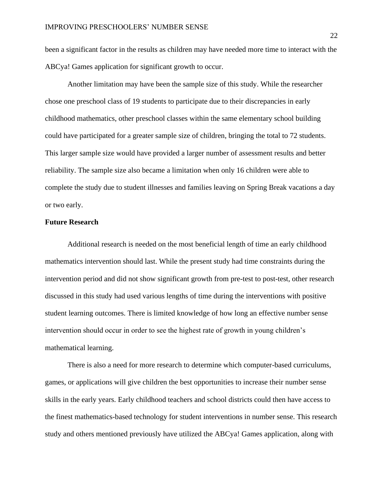been a significant factor in the results as children may have needed more time to interact with the ABCya! Games application for significant growth to occur.

Another limitation may have been the sample size of this study. While the researcher chose one preschool class of 19 students to participate due to their discrepancies in early childhood mathematics, other preschool classes within the same elementary school building could have participated for a greater sample size of children, bringing the total to 72 students. This larger sample size would have provided a larger number of assessment results and better reliability. The sample size also became a limitation when only 16 children were able to complete the study due to student illnesses and families leaving on Spring Break vacations a day or two early.

#### **Future Research**

Additional research is needed on the most beneficial length of time an early childhood mathematics intervention should last. While the present study had time constraints during the intervention period and did not show significant growth from pre-test to post-test, other research discussed in this study had used various lengths of time during the interventions with positive student learning outcomes. There is limited knowledge of how long an effective number sense intervention should occur in order to see the highest rate of growth in young children's mathematical learning.

There is also a need for more research to determine which computer-based curriculums, games, or applications will give children the best opportunities to increase their number sense skills in the early years. Early childhood teachers and school districts could then have access to the finest mathematics-based technology for student interventions in number sense. This research study and others mentioned previously have utilized the ABCya! Games application, along with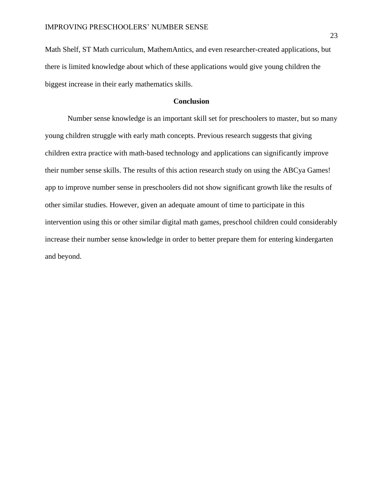Math Shelf, ST Math curriculum, MathemAntics, and even researcher-created applications, but there is limited knowledge about which of these applications would give young children the biggest increase in their early mathematics skills.

### **Conclusion**

Number sense knowledge is an important skill set for preschoolers to master, but so many young children struggle with early math concepts. Previous research suggests that giving children extra practice with math-based technology and applications can significantly improve their number sense skills. The results of this action research study on using the ABCya Games! app to improve number sense in preschoolers did not show significant growth like the results of other similar studies. However, given an adequate amount of time to participate in this intervention using this or other similar digital math games, preschool children could considerably increase their number sense knowledge in order to better prepare them for entering kindergarten and beyond.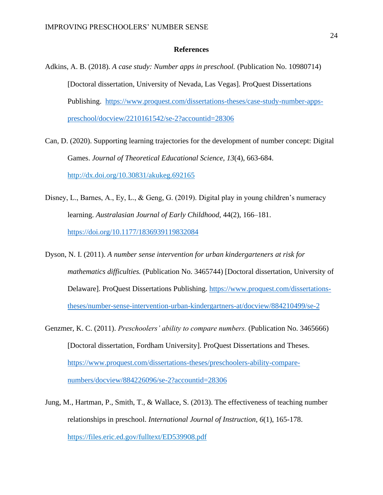#### **References**

- Adkins, A. B. (2018). *A case study: Number apps in preschool.* (Publication No. 10980714) [Doctoral dissertation, University of Nevada, Las Vegas]. ProQuest Dissertations Publishing. [https://www.proquest.com/dissertations-theses/case-study-number-apps](https://www.proquest.com/dissertations-theses/case-study-number-apps-preschool/docview/2210161542/se-2?accountid=28306)[preschool/docview/2210161542/se-2?accountid=28306](https://www.proquest.com/dissertations-theses/case-study-number-apps-preschool/docview/2210161542/se-2?accountid=28306)
- Can, D. (2020). Supporting learning trajectories for the development of number concept: Digital Games. *Journal of Theoretical Educational Science, 13*(4), 663-684. <http://dx.doi.org/10.30831/akukeg.692165>
- Disney, L., Barnes, A., Ey, L., & Geng, G. (2019). Digital play in young children's numeracy learning. *Australasian Journal of Early Childhood*, 44(2), 166–181. <https://doi.org/10.1177/1836939119832084>
- Dyson, N. I. (2011). *A number sense intervention for urban kindergarteners at risk for mathematics difficulties.* (Publication No. 3465744) [Doctoral dissertation, University of Delaware]. ProQuest Dissertations Publishing. [https://www.proquest.com/dissertations](https://www.proquest.com/dissertations-theses/number-sense-intervention-urban-kindergartners-at/docview/884210499/se-2)[theses/number-sense-intervention-urban-kindergartners-at/docview/884210499/se-2](https://www.proquest.com/dissertations-theses/number-sense-intervention-urban-kindergartners-at/docview/884210499/se-2)
- Genzmer, K. C. (2011). *Preschoolers' ability to compare numbers.* (Publication No. 3465666) [Doctoral dissertation, Fordham University]. ProQuest Dissertations and Theses. [https://www.proquest.com/dissertations-theses/preschoolers-ability-compare](https://www.proquest.com/dissertations-theses/preschoolers-ability-compare-numbers/docview/884226096/se-2?accountid=28306)[numbers/docview/884226096/se-2?accountid=28306](https://www.proquest.com/dissertations-theses/preschoolers-ability-compare-numbers/docview/884226096/se-2?accountid=28306)
- Jung, M., Hartman, P., Smith, T., & Wallace, S. (2013). The effectiveness of teaching number relationships in preschool. *International Journal of Instruction, 6*(1), 165-178. <https://files.eric.ed.gov/fulltext/ED539908.pdf>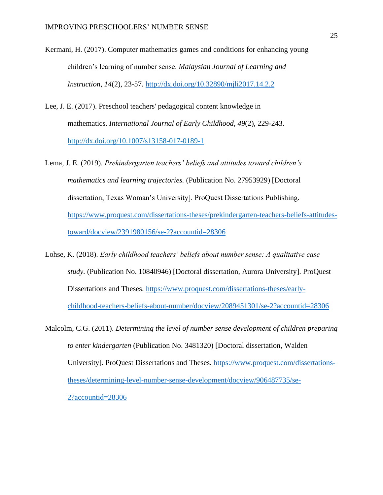- Kermani, H. (2017). Computer mathematics games and conditions for enhancing young children's learning of number sense. *Malaysian Journal of Learning and Instruction, 14*(2), 23-57.<http://dx.doi.org/10.32890/mjli2017.14.2.2>
- Lee, J. E. (2017). Preschool teachers' pedagogical content knowledge in mathematics. *International Journal of Early Childhood, 49*(2), 229-243. <http://dx.doi.org/10.1007/s13158-017-0189-1>
- Lema, J. E. (2019). *Prekindergarten teachers' beliefs and attitudes toward children's mathematics and learning trajectories.* (Publication No. 27953929) [Doctoral dissertation, Texas Woman's University]. ProQuest Dissertations Publishing. [https://www.proquest.com/dissertations-theses/prekindergarten-teachers-beliefs-attitudes](https://www.proquest.com/dissertations-theses/prekindergarten-teachers-beliefs-attitudes-toward/docview/2391980156/se-2?accountid=28306)[toward/docview/2391980156/se-2?accountid=28306](https://www.proquest.com/dissertations-theses/prekindergarten-teachers-beliefs-attitudes-toward/docview/2391980156/se-2?accountid=28306)
- Lohse, K. (2018). *Early childhood teachers' beliefs about number sense: A qualitative case study.* (Publication No. 10840946) [Doctoral dissertation, Aurora University]. ProQuest Dissertations and Theses. [https://www.proquest.com/dissertations-theses/early](https://www.proquest.com/dissertations-theses/early-childhood-teachers-beliefs-about-number/docview/2089451301/se-2?accountid=28306)[childhood-teachers-beliefs-about-number/docview/2089451301/se-2?accountid=28306](https://www.proquest.com/dissertations-theses/early-childhood-teachers-beliefs-about-number/docview/2089451301/se-2?accountid=28306)
- Malcolm, C.G. (2011). *Determining the level of number sense development of children preparing to enter kindergarten* (Publication No. 3481320) [Doctoral dissertation, Walden University]. ProQuest Dissertations and Theses. [https://www.proquest.com/dissertations](https://www.proquest.com/dissertations-theses/determining-level-number-sense-development/docview/906487735/se-2?accountid=28306)[theses/determining-level-number-sense-development/docview/906487735/se-](https://www.proquest.com/dissertations-theses/determining-level-number-sense-development/docview/906487735/se-2?accountid=28306)[2?accountid=28306](https://www.proquest.com/dissertations-theses/determining-level-number-sense-development/docview/906487735/se-2?accountid=28306)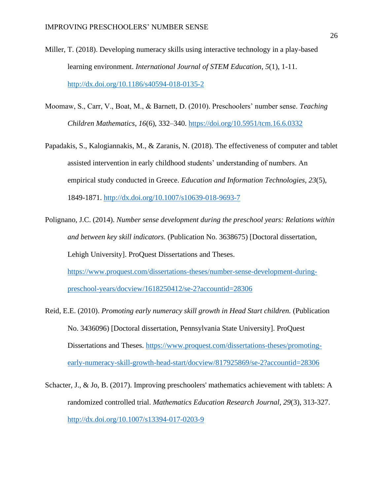- Miller, T. (2018). Developing numeracy skills using interactive technology in a play-based learning environment. *International Journal of STEM Education, 5*(1), 1-11. <http://dx.doi.org/10.1186/s40594-018-0135-2>
- Moomaw, S., Carr, V., Boat, M., & Barnett, D. (2010). Preschoolers' number sense. *Teaching Children Mathematics*, *16*(6), 332–340.<https://doi.org/10.5951/tcm.16.6.0332>
- Papadakis, S., Kalogiannakis, M., & Zaranis, N. (2018). The effectiveness of computer and tablet assisted intervention in early childhood students' understanding of numbers. An empirical study conducted in Greece. *Education and Information Technologies, 23*(5), 1849-1871.<http://dx.doi.org/10.1007/s10639-018-9693-7>
- Polignano, J.C. (2014). *Number sense development during the preschool years: Relations within and between key skill indicators.* (Publication No. 3638675) [Doctoral dissertation, Lehigh University]. ProQuest Dissertations and Theses.

[https://www.proquest.com/dissertations-theses/number-sense-development-during](https://www.proquest.com/dissertations-theses/number-sense-development-during-preschool-years/docview/1618250412/se-2?accountid=28306)[preschool-years/docview/1618250412/se-2?accountid=28306](https://www.proquest.com/dissertations-theses/number-sense-development-during-preschool-years/docview/1618250412/se-2?accountid=28306)

- Reid, E.E. (2010). *Promoting early numeracy skill growth in Head Start children.* (Publication No. 3436096) [Doctoral dissertation, Pennsylvania State University]. ProQuest Dissertations and Theses. [https://www.proquest.com/dissertations-theses/promoting](https://www.proquest.com/dissertations-theses/promoting-early-numeracy-skill-growth-head-start/docview/817925869/se-2?accountid=28306)[early-numeracy-skill-growth-head-start/docview/817925869/se-2?accountid=28306](https://www.proquest.com/dissertations-theses/promoting-early-numeracy-skill-growth-head-start/docview/817925869/se-2?accountid=28306)
- Schacter, J., & Jo, B. (2017). Improving preschoolers' mathematics achievement with tablets: A randomized controlled trial. *Mathematics Education Research Journal, 29*(3), 313-327. <http://dx.doi.org/10.1007/s13394-017-0203-9>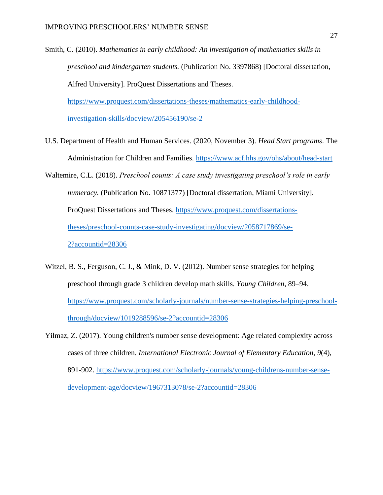Smith, C. (2010). *Mathematics in early childhood: An investigation of mathematics skills in preschool and kindergarten students.* (Publication No. 3397868) [Doctoral dissertation, Alfred University]. ProQuest Dissertations and Theses.

[https://www.proquest.com/dissertations-theses/mathematics-early-childhood](https://www.proquest.com/dissertations-theses/mathematics-early-childhood-investigation-skills/docview/205456190/se-2)[investigation-skills/docview/205456190/se-2](https://www.proquest.com/dissertations-theses/mathematics-early-childhood-investigation-skills/docview/205456190/se-2)

- U.S. Department of Health and Human Services. (2020, November 3). *Head Start programs*. The Administration for Children and Families.<https://www.acf.hhs.gov/ohs/about/head-start>
- Waltemire, C.L. (2018). *Preschool counts: A case study investigating preschool's role in early numeracy.* (Publication No. 10871377) [Doctoral dissertation, Miami University]. ProQuest Dissertations and Theses. [https://www.proquest.com/dissertations](https://www.proquest.com/dissertations-theses/preschool-counts-case-study-investigating/docview/2058717869/se-2?accountid=28306)[theses/preschool-counts-case-study-investigating/docview/2058717869/se-](https://www.proquest.com/dissertations-theses/preschool-counts-case-study-investigating/docview/2058717869/se-2?accountid=28306)[2?accountid=28306](https://www.proquest.com/dissertations-theses/preschool-counts-case-study-investigating/docview/2058717869/se-2?accountid=28306)
- Witzel, B. S., Ferguson, C. J., & Mink, D. V. (2012). Number sense strategies for helping preschool through grade 3 children develop math skills. *Young Children*, 89–94. [https://www.proquest.com/scholarly-journals/number-sense-strategies-helping-preschool](https://www.proquest.com/scholarly-journals/number-sense-strategies-helping-preschool-through/docview/1019288596/se-2?accountid=28306)[through/docview/1019288596/se-2?accountid=28306](https://www.proquest.com/scholarly-journals/number-sense-strategies-helping-preschool-through/docview/1019288596/se-2?accountid=28306)
- Yilmaz, Z. (2017). Young children's number sense development: Age related complexity across cases of three children. *International Electronic Journal of Elementary Education, 9*(4), 891-902. [https://www.proquest.com/scholarly-journals/young-childrens-number-sense](https://www.proquest.com/scholarly-journals/young-childrens-number-sense-development-age/docview/1967313078/se-2?accountid=28306)[development-age/docview/1967313078/se-2?accountid=28306](https://www.proquest.com/scholarly-journals/young-childrens-number-sense-development-age/docview/1967313078/se-2?accountid=28306)